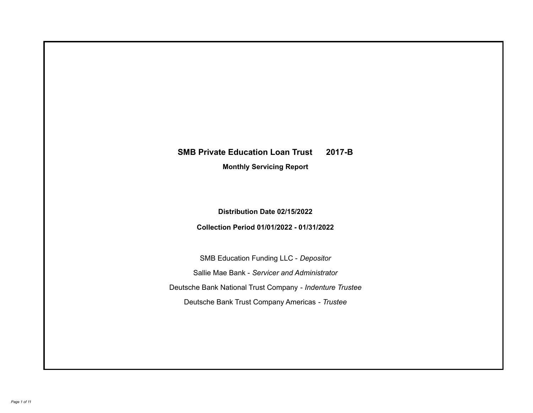# **SMB Private Education Loan Trust 2017-B**

**Monthly Servicing Report**

**Distribution Date 02/15/2022**

**Collection Period 01/01/2022 - 01/31/2022**

SMB Education Funding LLC - *Depositor* Sallie Mae Bank - *Servicer and Administrator* Deutsche Bank National Trust Company - *Indenture Trustee* Deutsche Bank Trust Company Americas - *Trustee*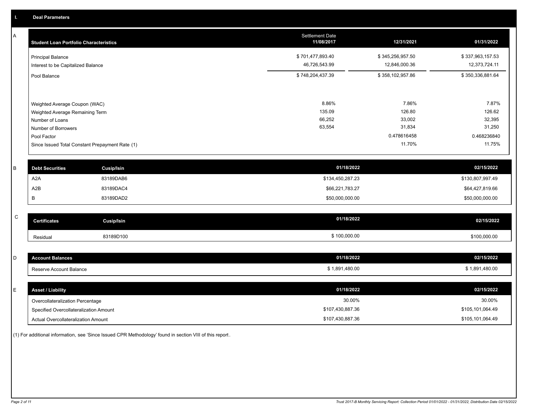A

| A | <b>Student Loan Portfolio Characteristics</b> |                                                 | <b>Settlement Date</b><br>11/08/2017 | 12/31/2021       | 01/31/2022       |
|---|-----------------------------------------------|-------------------------------------------------|--------------------------------------|------------------|------------------|
|   | <b>Principal Balance</b>                      |                                                 | \$701,477,893.40                     | \$345,256,957.50 | \$337,963,157.53 |
|   | Interest to be Capitalized Balance            |                                                 | 46,726,543.99                        | 12,846,000.36    | 12,373,724.11    |
|   | Pool Balance                                  |                                                 | \$748,204,437.39                     | \$358,102,957.86 | \$350,336,881.64 |
|   |                                               |                                                 |                                      |                  |                  |
|   | Weighted Average Coupon (WAC)                 |                                                 | 8.86%                                | 7.86%            | 7.87%            |
|   | Weighted Average Remaining Term               |                                                 | 135.09                               | 126.80           | 126.62           |
|   | Number of Loans                               |                                                 | 66,252<br>63,554                     | 33,002<br>31,834 | 32,395<br>31,250 |
|   | Number of Borrowers<br>Pool Factor            |                                                 |                                      | 0.478616458      | 0.468236840      |
|   |                                               | Since Issued Total Constant Prepayment Rate (1) |                                      | 11.70%           | 11.75%           |
| B | <b>Debt Securities</b>                        | <b>Cusip/Isin</b>                               | 01/18/2022                           |                  | 02/15/2022       |
|   | A <sub>2</sub> A                              | 83189DAB6                                       | \$134,450,287.23                     |                  | \$130,807,997.49 |
|   | A <sub>2</sub> B                              | 83189DAC4                                       | \$66,221,783.27                      |                  | \$64,427,819.66  |
|   | В                                             | 83189DAD2                                       | \$50,000,000.00                      |                  | \$50,000,000.00  |
| C | <b>Certificates</b>                           | <b>Cusip/Isin</b>                               | 01/18/2022                           |                  | 02/15/2022       |
|   |                                               |                                                 |                                      |                  |                  |
|   | Residual                                      | 83189D100                                       | \$100,000.00                         |                  | \$100,000.00     |
|   |                                               |                                                 |                                      |                  |                  |
| D | <b>Account Balances</b>                       |                                                 | 01/18/2022                           |                  | 02/15/2022       |
|   | Reserve Account Balance                       |                                                 | \$1,891,480.00                       |                  | \$1,891,480.00   |
|   |                                               |                                                 |                                      |                  |                  |
| E | <b>Asset / Liability</b>                      |                                                 | 01/18/2022                           |                  | 02/15/2022       |
|   | Overcollateralization Percentage              |                                                 | 30.00%                               |                  | 30.00%           |
|   | Specified Overcollateralization Amount        |                                                 | \$107,430,887.36                     |                  | \$105,101,064.49 |

(1) For additional information, see 'Since Issued CPR Methodology' found in section VIII of this report .

Actual Overcollateralization Amount \$107,430,887.36

\$105,101,064.49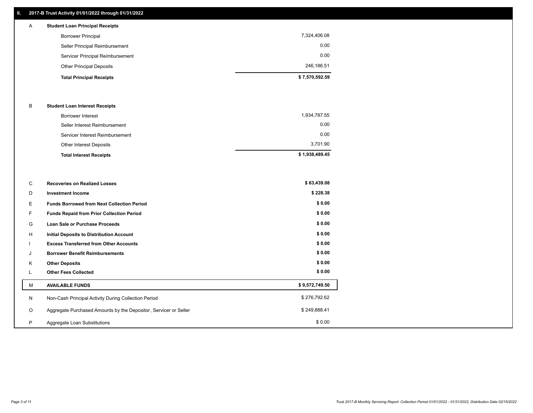# **II. 2017-B Trust Activity 01/01/2022 through 01/31/2022**

# **Total Principal Receipts \$ 7,570,592.59**  Other Principal Deposits 246,186.51 Servicer Principal Reimbursement 0.00 Seller Principal Reimbursement 0.00 Borrower Principal 7,324,406.08 A **Student Loan Principal Receipts**

## B **Student Loan Interest Receipts**

| <b>Total Interest Receipts</b>  | \$1,938,489.45 |
|---------------------------------|----------------|
| Other Interest Deposits         | 3.701.90       |
| Servicer Interest Reimbursement | 0.00           |
| Seller Interest Reimbursement   | 0.00           |
| <b>Borrower Interest</b>        | 1,934,787.55   |

| C       | <b>Recoveries on Realized Losses</b>                             | \$63,439.08    |
|---------|------------------------------------------------------------------|----------------|
| D       | <b>Investment Income</b>                                         | \$228.38       |
| Е.      | <b>Funds Borrowed from Next Collection Period</b>                | \$0.00         |
| F.      | <b>Funds Repaid from Prior Collection Period</b>                 | \$0.00         |
| G       | Loan Sale or Purchase Proceeds                                   | \$0.00         |
| H       | Initial Deposits to Distribution Account                         | \$0.00         |
|         | <b>Excess Transferred from Other Accounts</b>                    | \$0.00         |
| J       | <b>Borrower Benefit Reimbursements</b>                           | \$0.00         |
| Κ       | <b>Other Deposits</b>                                            | \$0.00         |
| ┗       | <b>Other Fees Collected</b>                                      | \$0.00         |
| М       | <b>AVAILABLE FUNDS</b>                                           | \$9,572,749.50 |
| N       | Non-Cash Principal Activity During Collection Period             | \$276,792.62   |
| $\circ$ | Aggregate Purchased Amounts by the Depositor, Servicer or Seller | \$249,888.41   |
| P       | Aggregate Loan Substitutions                                     | \$0.00         |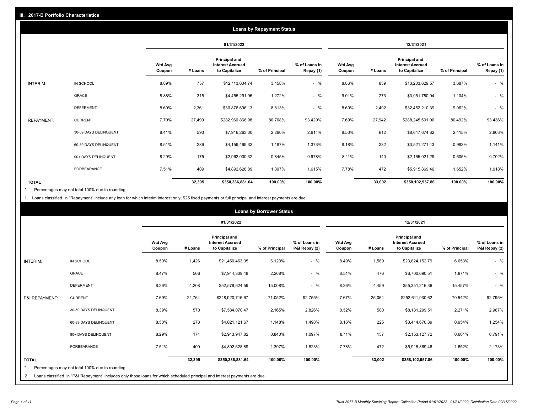|                   | <b>Loans by Repayment Status</b> |                          |            |                                                           |                |                            |                          |         |                                                           |                |                            |
|-------------------|----------------------------------|--------------------------|------------|-----------------------------------------------------------|----------------|----------------------------|--------------------------|---------|-----------------------------------------------------------|----------------|----------------------------|
|                   |                                  |                          | 01/31/2022 |                                                           |                | 12/31/2021                 |                          |         |                                                           |                |                            |
|                   |                                  | <b>Wtd Avg</b><br>Coupon | # Loans    | Principal and<br><b>Interest Accrued</b><br>to Capitalize | % of Principal | % of Loans in<br>Repay (1) | <b>Wtd Avg</b><br>Coupon | # Loans | Principal and<br><b>Interest Accrued</b><br>to Capitalize | % of Principal | % of Loans in<br>Repay (1) |
| INTERIM:          | IN SCHOOL                        | 8.89%                    | 757        | \$12,113,604.74                                           | 3.458%         | $-$ %                      | 8.86%                    | 839     | \$13,203,629.57                                           | 3.687%         | $-$ %                      |
|                   | GRACE                            | 8.88%                    | 315        | \$4,455,291.96                                            | 1.272%         | $-$ %                      | 9.01%                    | 273     | \$3,951,780.04                                            | 1.104%         | $-$ %                      |
|                   | <b>DEFERMENT</b>                 | 8.60%                    | 2,361      | \$30,876,696.13                                           | 8.813%         | $-$ %                      | 8.60%                    | 2,492   | \$32,452,210.39                                           | 9.062%         | $-$ %                      |
| <b>REPAYMENT:</b> | <b>CURRENT</b>                   | 7.70%                    | 27,499     | \$282,960,866.98                                          | 80.768%        | 93.420%                    | 7.69%                    | 27,942  | \$288,245,501.06                                          | 80.492%        | 93.436%                    |
|                   | 30-59 DAYS DELINQUENT            | 8.41%                    | 593        | \$7,916,263.30                                            | 2.260%         | 2.614%                     | 8.50%                    | 612     | \$8,647,674.62                                            | 2.415%         | 2.803%                     |
|                   | 60-89 DAYS DELINQUENT            | 8.51%                    | 286        | \$4,159,499.32                                            | 1.187%         | 1.373%                     | 8.18%                    | 232     | \$3,521,271.43                                            | 0.983%         | 1.141%                     |
|                   | 90+ DAYS DELINQUENT              | 8.29%                    | 175        | \$2,962,030.32                                            | 0.845%         | 0.978%                     | 8.11%                    | 140     | \$2,165,021.29                                            | 0.605%         | 0.702%                     |
|                   | <b>FORBEARANCE</b>               | 7.51%                    | 409        | \$4,892,628.89                                            | 1.397%         | 1.615%                     | 7.78%                    | 472     | \$5,915,869.46                                            | 1.652%         | 1.918%                     |
| <b>TOTAL</b>      |                                  |                          | 32,395     | \$350,336,881.64                                          | 100.00%        | 100.00%                    |                          | 33,002  | \$358,102,957.86                                          | 100.00%        | 100.00%                    |

Percentages may not total 100% due to rounding \*

1 Loans classified in "Repayment" include any loan for which interim interest only, \$25 fixed payments or full principal and interest payments are due.

|                              |                                                                                                                                                                              | <b>Loans by Borrower Status</b> |         |                                                           |                |                                |                          |         |                                                                  |                |                                |
|------------------------------|------------------------------------------------------------------------------------------------------------------------------------------------------------------------------|---------------------------------|---------|-----------------------------------------------------------|----------------|--------------------------------|--------------------------|---------|------------------------------------------------------------------|----------------|--------------------------------|
|                              |                                                                                                                                                                              |                                 |         | 01/31/2022                                                |                |                                | 12/31/2021               |         |                                                                  |                |                                |
|                              |                                                                                                                                                                              | <b>Wtd Avg</b><br>Coupon        | # Loans | Principal and<br><b>Interest Accrued</b><br>to Capitalize | % of Principal | % of Loans in<br>P&I Repay (2) | <b>Wtd Avg</b><br>Coupon | # Loans | <b>Principal and</b><br><b>Interest Accrued</b><br>to Capitalize | % of Principal | % of Loans in<br>P&I Repay (2) |
| <b>INTERIM:</b>              | IN SCHOOL                                                                                                                                                                    | 8.50%                           | 1,426   | \$21,450,463.05                                           | 6.123%         | $-$ %                          | 8.49%                    | 1,589   | \$23,824,152.79                                                  | 6.653%         | $-$ %                          |
|                              | <b>GRACE</b>                                                                                                                                                                 | 8.47%                           | 566     | \$7,944,309.48                                            | 2.268%         | $-$ %                          | 8.51%                    | 476     | \$6,700,690.51                                                   | 1.871%         | $-$ %                          |
|                              | <b>DEFERMENT</b>                                                                                                                                                             | 8.26%                           | 4,208   | \$52,579,624.59                                           | 15.008%        | $-$ %                          | 8.26%                    | 4,459   | \$55,351,216.36                                                  | 15.457%        | $-$ %                          |
| P&I REPAYMENT:               | <b>CURRENT</b>                                                                                                                                                               | 7.69%                           | 24,764  | \$248,920,715.67                                          | 71.052%        | 92.755%                        | 7.67%                    | 25,064  | \$252,611,930.62                                                 | 70.542%        | 92.795%                        |
|                              | 30-59 DAYS DELINQUENT                                                                                                                                                        | 8.39%                           | 570     | \$7,584,070.47                                            | 2.165%         | 2.826%                         | 8.52%                    | 580     | \$8,131,299.51                                                   | 2.271%         | 2.987%                         |
|                              | 60-89 DAYS DELINQUENT                                                                                                                                                        | 8.50%                           | 278     | \$4,021,121.67                                            | 1.148%         | 1.498%                         | 8.16%                    | 225     | \$3,414,670.89                                                   | 0.954%         | 1.254%                         |
|                              | 90+ DAYS DELINQUENT                                                                                                                                                          | 8.29%                           | 174     | \$2,943,947.82                                            | 0.840%         | 1.097%                         | 8.11%                    | 137     | \$2,153,127.72                                                   | 0.601%         | 0.791%                         |
|                              | FORBEARANCE                                                                                                                                                                  | 7.51%                           | 409     | \$4,892,628.89                                            | 1.397%         | 1.823%                         | 7.78%                    | 472     | \$5,915,869.46                                                   | 1.652%         | 2.173%                         |
| <b>TOTAL</b><br>$\star$<br>2 | Percentages may not total 100% due to rounding<br>Loans classified in "P&I Repayment" includes only those loans for which scheduled principal and interest payments are due. |                                 | 32,395  | \$350,336,881.64                                          | 100.00%        | 100.00%                        |                          | 33,002  | \$358,102,957.86                                                 | 100.00%        | 100.00%                        |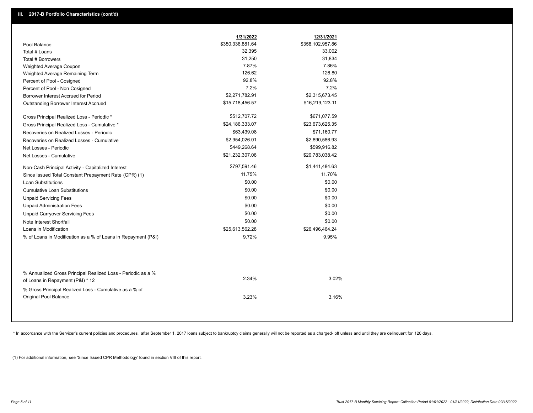|                                                                                                  | 1/31/2022        | 12/31/2021       |
|--------------------------------------------------------------------------------------------------|------------------|------------------|
| Pool Balance                                                                                     | \$350,336,881.64 | \$358,102,957.86 |
| Total # Loans                                                                                    | 32,395           | 33,002           |
| Total # Borrowers                                                                                | 31,250           | 31,834           |
| Weighted Average Coupon                                                                          | 7.87%            | 7.86%            |
| Weighted Average Remaining Term                                                                  | 126.62           | 126.80           |
| Percent of Pool - Cosigned                                                                       | 92.8%            | 92.8%            |
| Percent of Pool - Non Cosigned                                                                   | 7.2%             | 7.2%             |
| Borrower Interest Accrued for Period                                                             | \$2,271,782.91   | \$2,315,673.45   |
| Outstanding Borrower Interest Accrued                                                            | \$15,718,456.57  | \$16,219,123.11  |
| Gross Principal Realized Loss - Periodic *                                                       | \$512,707.72     | \$671,077.59     |
| Gross Principal Realized Loss - Cumulative *                                                     | \$24,186,333.07  | \$23,673,625.35  |
| Recoveries on Realized Losses - Periodic                                                         | \$63,439.08      | \$71,160.77      |
| Recoveries on Realized Losses - Cumulative                                                       | \$2,954,026.01   | \$2,890,586.93   |
| Net Losses - Periodic                                                                            | \$449,268.64     | \$599,916.82     |
| Net Losses - Cumulative                                                                          | \$21,232,307.06  | \$20,783,038.42  |
| Non-Cash Principal Activity - Capitalized Interest                                               | \$797,591.46     | \$1,441,484.63   |
| Since Issued Total Constant Prepayment Rate (CPR) (1)                                            | 11.75%           | 11.70%           |
| Loan Substitutions                                                                               | \$0.00           | \$0.00           |
| <b>Cumulative Loan Substitutions</b>                                                             | \$0.00           | \$0.00           |
| <b>Unpaid Servicing Fees</b>                                                                     | \$0.00           | \$0.00           |
| <b>Unpaid Administration Fees</b>                                                                | \$0.00           | \$0.00           |
| <b>Unpaid Carryover Servicing Fees</b>                                                           | \$0.00           | \$0.00           |
| Note Interest Shortfall                                                                          | \$0.00           | \$0.00           |
| Loans in Modification                                                                            | \$25,613,562.28  | \$26,496,464.24  |
| % of Loans in Modification as a % of Loans in Repayment (P&I)                                    | 9.72%            | 9.95%            |
|                                                                                                  |                  |                  |
| % Annualized Gross Principal Realized Loss - Periodic as a %<br>of Loans in Repayment (P&I) * 12 | 2.34%            | 3.02%            |
| % Gross Principal Realized Loss - Cumulative as a % of                                           |                  |                  |

\* In accordance with the Servicer's current policies and procedures, after September 1, 2017 loans subject to bankruptcy claims generally will not be reported as a charged- off unless and until they are delinquent for 120

3.23% 3.16%

(1) For additional information, see 'Since Issued CPR Methodology' found in section VIII of this report .

Original Pool Balance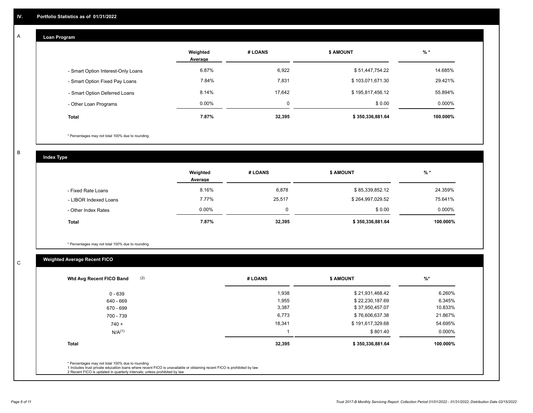#### **Loan Program**  A

|                                    | Weighted<br>Average | # LOANS     | <b>\$ AMOUNT</b> | $%$ *    |
|------------------------------------|---------------------|-------------|------------------|----------|
| - Smart Option Interest-Only Loans | 6.87%               | 6,922       | \$51,447,754.22  | 14.685%  |
| - Smart Option Fixed Pay Loans     | 7.84%               | 7,831       | \$103,071,671.30 | 29.421%  |
| - Smart Option Deferred Loans      | 8.14%               | 17,642      | \$195,817,456.12 | 55.894%  |
| - Other Loan Programs              | $0.00\%$            | $\mathbf 0$ | \$0.00           | 0.000%   |
| <b>Total</b>                       | 7.87%               | 32,395      | \$350,336,881.64 | 100.000% |

\* Percentages may not total 100% due to rounding

B

C

**Index Type**

|                       | Weighted<br>Average | # LOANS  | <b>\$ AMOUNT</b> | $%$ *     |
|-----------------------|---------------------|----------|------------------|-----------|
| - Fixed Rate Loans    | 8.16%               | 6,878    | \$85,339,852.12  | 24.359%   |
| - LIBOR Indexed Loans | 7.77%               | 25,517   | \$264,997,029.52 | 75.641%   |
| - Other Index Rates   | $0.00\%$            | $\Omega$ | \$0.00           | $0.000\%$ |
| <b>Total</b>          | 7.87%               | 32,395   | \$350,336,881.64 | 100.000%  |

\* Percentages may not total 100% due to rounding

# **Weighted Average Recent FICO**

| (2)<br>Wtd Avg Recent FICO Band | # LOANS | \$ AMOUNT        | %        |
|---------------------------------|---------|------------------|----------|
| $0 - 639$                       | 1,938   | \$21,931,468.42  | 6.260%   |
| 640 - 669                       | 1,955   | \$22,230,187.69  | 6.345%   |
| 670 - 699                       | 3,387   | \$37,950,457.07  | 10.833%  |
| 700 - 739                       | 6,773   | \$76,606,637.38  | 21.867%  |
| $740 +$                         | 18,341  | \$191,617,329.68 | 54.695%  |
| $N/A^{(1)}$                     |         | \$801.40         | 0.000%   |
| <b>Total</b>                    | 32,395  | \$350,336,881.64 | 100.000% |
|                                 |         |                  |          |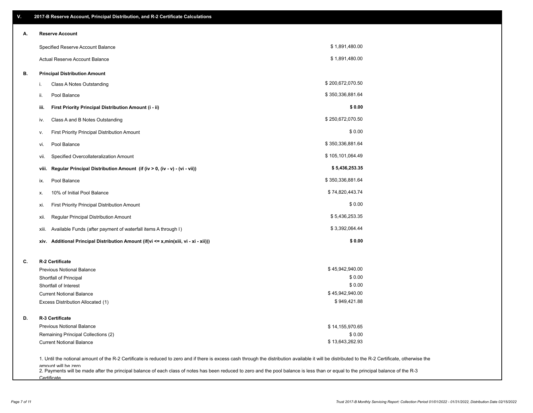| Α. | <b>Reserve Account</b>                                                                                                                                                                                                    |                  |  |
|----|---------------------------------------------------------------------------------------------------------------------------------------------------------------------------------------------------------------------------|------------------|--|
|    | Specified Reserve Account Balance                                                                                                                                                                                         | \$1,891,480.00   |  |
|    | Actual Reserve Account Balance                                                                                                                                                                                            | \$1,891,480.00   |  |
| В. | <b>Principal Distribution Amount</b>                                                                                                                                                                                      |                  |  |
|    | Class A Notes Outstanding<br>i.                                                                                                                                                                                           | \$200,672,070.50 |  |
|    | Pool Balance<br>ii.                                                                                                                                                                                                       | \$350,336,881.64 |  |
|    | First Priority Principal Distribution Amount (i - ii)<br>iii.                                                                                                                                                             | \$0.00           |  |
|    | Class A and B Notes Outstanding<br>iv.                                                                                                                                                                                    | \$250,672,070.50 |  |
|    | First Priority Principal Distribution Amount<br>۷.                                                                                                                                                                        | \$0.00           |  |
|    | Pool Balance<br>vi.                                                                                                                                                                                                       | \$350,336,881.64 |  |
|    | Specified Overcollateralization Amount<br>vii.                                                                                                                                                                            | \$105,101,064.49 |  |
|    | Regular Principal Distribution Amount (if (iv > 0, (iv - v) - (vi - vii))<br>viii.                                                                                                                                        | \$5,436,253.35   |  |
|    | Pool Balance<br>ix.                                                                                                                                                                                                       | \$350,336,881.64 |  |
|    | 10% of Initial Pool Balance<br>х.                                                                                                                                                                                         | \$74,820,443.74  |  |
|    | First Priority Principal Distribution Amount<br>xi.                                                                                                                                                                       | \$0.00           |  |
|    | Regular Principal Distribution Amount<br>xii.                                                                                                                                                                             | \$5,436,253.35   |  |
|    | Available Funds (after payment of waterfall items A through I)<br>xiii.                                                                                                                                                   | \$3,392,064.44   |  |
|    | xiv. Additional Principal Distribution Amount (if(vi <= x,min(xiii, vi - xi - xii)))                                                                                                                                      | \$0.00           |  |
| C. | R-2 Certificate                                                                                                                                                                                                           |                  |  |
|    | <b>Previous Notional Balance</b>                                                                                                                                                                                          | \$45,942,940.00  |  |
|    | Shortfall of Principal                                                                                                                                                                                                    | \$0.00           |  |
|    | Shortfall of Interest                                                                                                                                                                                                     | \$0.00           |  |
|    | <b>Current Notional Balance</b>                                                                                                                                                                                           | \$45,942,940.00  |  |
|    | Excess Distribution Allocated (1)                                                                                                                                                                                         | \$949,421.88     |  |
| D. | R-3 Certificate                                                                                                                                                                                                           |                  |  |
|    | <b>Previous Notional Balance</b>                                                                                                                                                                                          | \$14,155,970.65  |  |
|    | Remaining Principal Collections (2)                                                                                                                                                                                       | \$0.00           |  |
|    | <b>Current Notional Balance</b>                                                                                                                                                                                           | \$13,643,262.93  |  |
|    | 1. Until the notional amount of the R-2 Certificate is reduced to zero and if there is excess cash through the distribution available it will be distributed to the R-2 Certificate, otherwise the<br>amount will be zero |                  |  |

amount will be zero<br>2. Payments will be made after the principal balance of each class of notes has been reduced to zero and the pool balance is less than or equal to the principal balance of the R-3 **Certificate**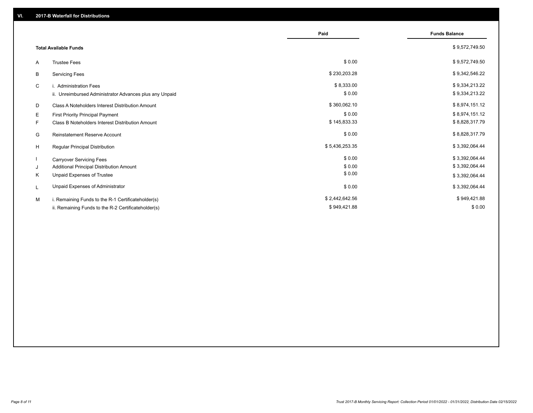|                                                         | Paid           | <b>Funds Balance</b> |
|---------------------------------------------------------|----------------|----------------------|
| <b>Total Available Funds</b>                            |                | \$9,572,749.50       |
| <b>Trustee Fees</b><br>A                                | \$0.00         | \$9,572,749.50       |
| В<br><b>Servicing Fees</b>                              | \$230,203.28   | \$9,342,546.22       |
| C<br>i. Administration Fees                             | \$8,333.00     | \$9,334,213.22       |
| ii. Unreimbursed Administrator Advances plus any Unpaid | \$0.00         | \$9,334,213.22       |
| Class A Noteholders Interest Distribution Amount<br>D   | \$360,062.10   | \$8,974,151.12       |
| Е<br>First Priority Principal Payment                   | \$0.00         | \$8,974,151.12       |
| F.<br>Class B Noteholders Interest Distribution Amount  | \$145,833.33   | \$8,828,317.79       |
| G<br><b>Reinstatement Reserve Account</b>               | \$0.00         | \$8,828,317.79       |
| H<br>Regular Principal Distribution                     | \$5,436,253.35 | \$3,392,064.44       |
| <b>Carryover Servicing Fees</b>                         | \$0.00         | \$3,392,064.44       |
| Additional Principal Distribution Amount<br>J           | \$0.00         | \$3,392,064.44       |
| Κ<br>Unpaid Expenses of Trustee                         | \$0.00         | \$3,392,064.44       |
| Unpaid Expenses of Administrator<br>L                   | \$0.00         | \$3,392,064.44       |
| M<br>i. Remaining Funds to the R-1 Certificateholder(s) | \$2,442,642.56 | \$949,421.88         |
| ii. Remaining Funds to the R-2 Certificateholder(s)     | \$949,421.88   | \$0.00               |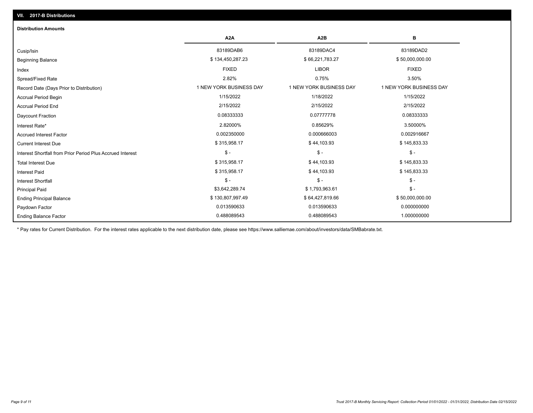| <b>Distribution Amounts</b>                                |                         |                         |                         |
|------------------------------------------------------------|-------------------------|-------------------------|-------------------------|
|                                                            | A <sub>2</sub> A        | A <sub>2</sub> B        | в                       |
| Cusip/Isin                                                 | 83189DAB6               | 83189DAC4               | 83189DAD2               |
| <b>Beginning Balance</b>                                   | \$134,450,287.23        | \$66,221,783.27         | \$50,000,000.00         |
| Index                                                      | <b>FIXED</b>            | <b>LIBOR</b>            | <b>FIXED</b>            |
| Spread/Fixed Rate                                          | 2.82%                   | 0.75%                   | 3.50%                   |
| Record Date (Days Prior to Distribution)                   | 1 NEW YORK BUSINESS DAY | 1 NEW YORK BUSINESS DAY | 1 NEW YORK BUSINESS DAY |
| <b>Accrual Period Begin</b>                                | 1/15/2022               | 1/18/2022               | 1/15/2022               |
| <b>Accrual Period End</b>                                  | 2/15/2022               | 2/15/2022               | 2/15/2022               |
| Daycount Fraction                                          | 0.08333333              | 0.07777778              | 0.08333333              |
| Interest Rate*                                             | 2.82000%                | 0.85629%                | 3.50000%                |
| <b>Accrued Interest Factor</b>                             | 0.002350000             | 0.000666003             | 0.002916667             |
| <b>Current Interest Due</b>                                | \$315,958.17            | \$44,103.93             | \$145,833.33            |
| Interest Shortfall from Prior Period Plus Accrued Interest | $\frac{1}{2}$           | $$ -$                   | $\frac{1}{2}$           |
| <b>Total Interest Due</b>                                  | \$315,958.17            | \$44,103.93             | \$145,833.33            |
| <b>Interest Paid</b>                                       | \$315,958.17            | \$44,103.93             | \$145,833.33            |
| <b>Interest Shortfall</b>                                  | $$ -$                   | $$ -$                   | $$ -$                   |
| <b>Principal Paid</b>                                      | \$3,642,289.74          | \$1,793,963.61          | $$ -$                   |
| <b>Ending Principal Balance</b>                            | \$130,807,997.49        | \$64,427,819.66         | \$50,000,000.00         |
| Paydown Factor                                             | 0.013590633             | 0.013590633             | 0.000000000             |
| <b>Ending Balance Factor</b>                               | 0.488089543             | 0.488089543             | 1.000000000             |

\* Pay rates for Current Distribution. For the interest rates applicable to the next distribution date, please see https://www.salliemae.com/about/investors/data/SMBabrate.txt.

**VII. 2017-B Distributions**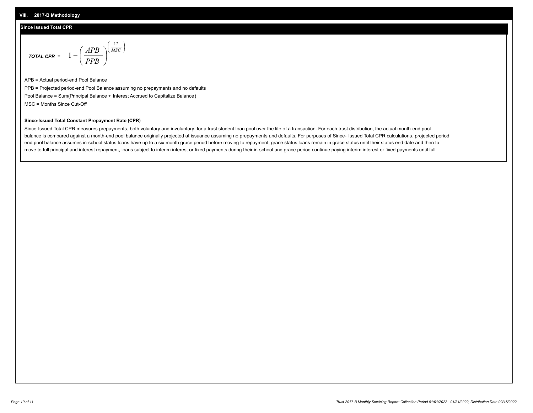# **Since Issued Total CPR**

$$
\text{total cPR} = 1 - \left(\frac{APB}{PPB}\right)^{\left(\frac{12}{MSC}\right)}
$$

APB = Actual period-end Pool Balance PPB = Projected period-end Pool Balance assuming no prepayments and no defaults Pool Balance = Sum(Principal Balance + Interest Accrued to Capitalize Balance) MSC = Months Since Cut-Off

I J Ι

## **Since-Issued Total Constant Prepayment Rate (CPR)**

Since-Issued Total CPR measures prepayments, both voluntary and involuntary, for a trust student loan pool over the life of a transaction. For each trust distribution, the actual month-end pool balance is compared against a month-end pool balance originally projected at issuance assuming no prepayments and defaults. For purposes of Since- Issued Total CPR calculations, projected period end pool balance assumes in-school status loans have up to a six month grace period before moving to repayment, grace status loans remain in grace status until their status end date and then to move to full principal and interest repayment, loans subject to interim interest or fixed payments during their in-school and grace period continue paying interim interest or fixed payments until full